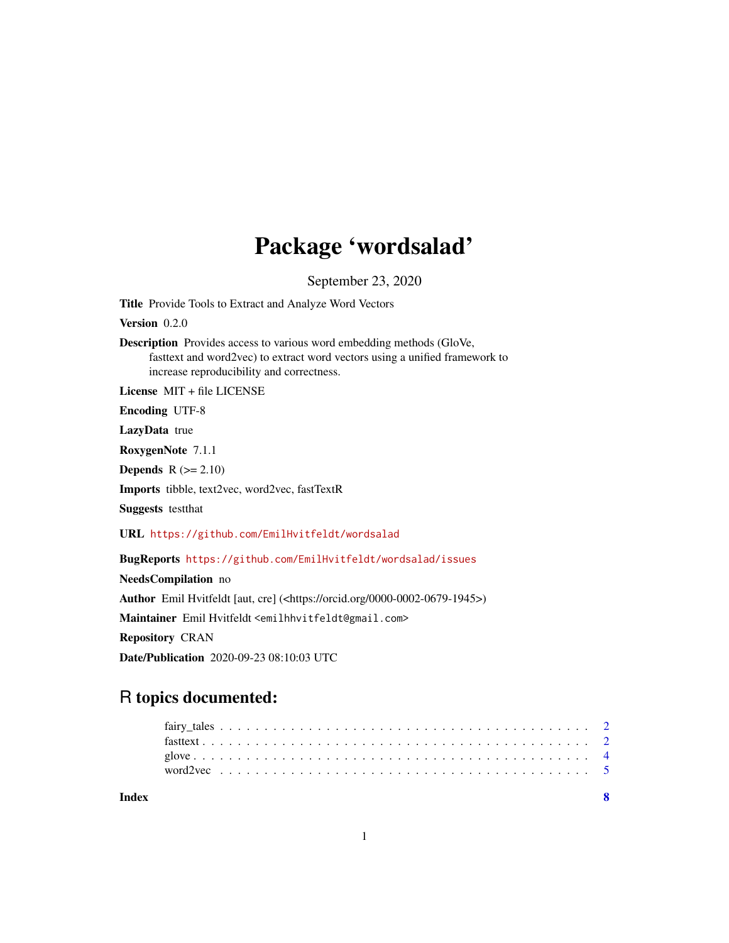# Package 'wordsalad'

September 23, 2020

<span id="page-0-0"></span>Title Provide Tools to Extract and Analyze Word Vectors

Version 0.2.0

Description Provides access to various word embedding methods (GloVe, fasttext and word2vec) to extract word vectors using a unified framework to increase reproducibility and correctness.

License MIT + file LICENSE

Encoding UTF-8

LazyData true

RoxygenNote 7.1.1

Depends  $R$  ( $>= 2.10$ )

Imports tibble, text2vec, word2vec, fastTextR

Suggests testthat

URL <https://github.com/EmilHvitfeldt/wordsalad>

BugReports <https://github.com/EmilHvitfeldt/wordsalad/issues>

NeedsCompilation no Author Emil Hvitfeldt [aut, cre] (<https://orcid.org/0000-0002-0679-1945>) Maintainer Emil Hvitfeldt <emilhhvitfeldt@gmail.com> Repository CRAN Date/Publication 2020-09-23 08:10:03 UTC

# R topics documented:

**Index** [8](#page-7-0) **8**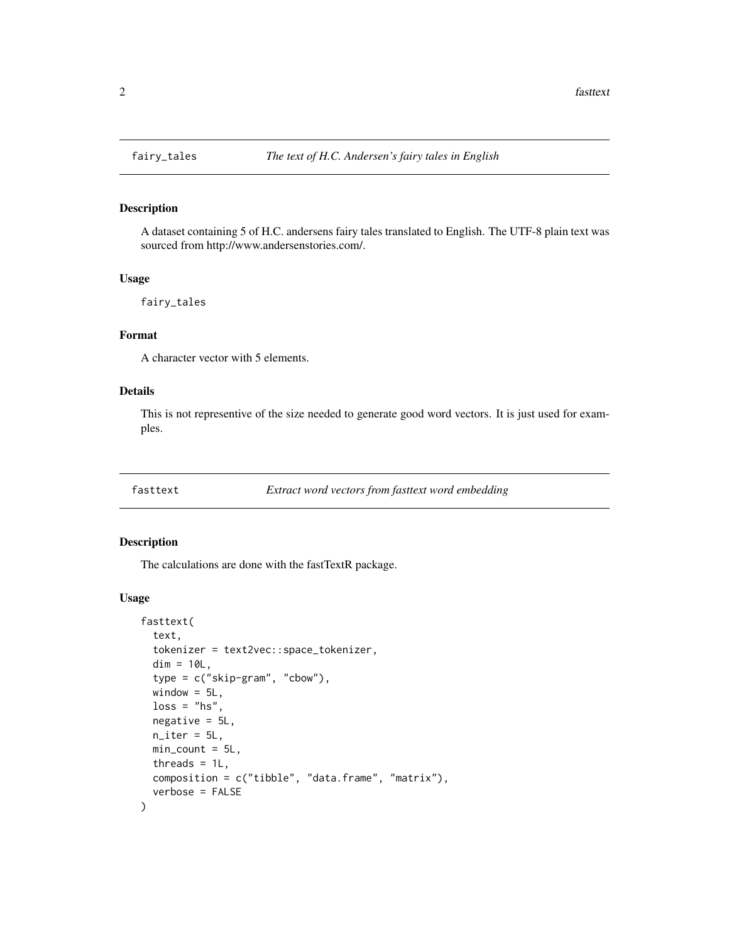# Description

A dataset containing 5 of H.C. andersens fairy tales translated to English. The UTF-8 plain text was sourced from http://www.andersenstories.com/.

#### Usage

fairy\_tales

# Format

A character vector with 5 elements.

# Details

This is not representive of the size needed to generate good word vectors. It is just used for examples.

#### Description

The calculations are done with the fastTextR package.

#### Usage

```
fasttext(
  text,
  tokenizer = text2vec::space_tokenizer,
 dim = 10L,type = c("skip-gram", "cbow"),
 window = 5L,
  loss = "hs",negative = 5L,
 n<sub>iter</sub> = 5L,
 min\_count = 5L,
 threads = 1L,
 composition = c("tibble", "data.frame", "matrix"),
  verbose = FALSE
)
```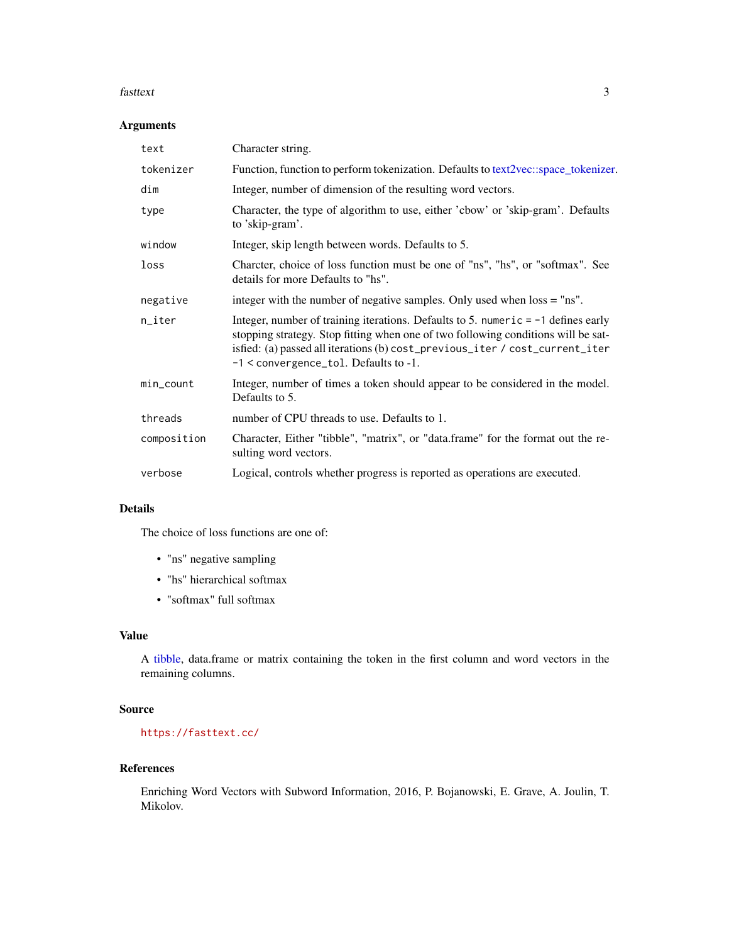#### <span id="page-2-0"></span>fasttext 3

# Arguments

| text         | Character string.                                                                                                                                                                                                                                                                                      |
|--------------|--------------------------------------------------------------------------------------------------------------------------------------------------------------------------------------------------------------------------------------------------------------------------------------------------------|
| tokenizer    | Function, function to perform tokenization. Defaults to text2vec: space_tokenizer.                                                                                                                                                                                                                     |
| dim          | Integer, number of dimension of the resulting word vectors.                                                                                                                                                                                                                                            |
| type         | Character, the type of algorithm to use, either 'cbow' or 'skip-gram'. Defaults<br>to 'skip-gram'.                                                                                                                                                                                                     |
| window       | Integer, skip length between words. Defaults to 5.                                                                                                                                                                                                                                                     |
| loss         | Charcter, choice of loss function must be one of "ns", "hs", or "softmax". See<br>details for more Defaults to "hs".                                                                                                                                                                                   |
| negative     | integer with the number of negative samples. Only used when loss = "ns".                                                                                                                                                                                                                               |
| n_iter       | Integer, number of training iterations. Defaults to 5. numeric $= -1$ defines early<br>stopping strategy. Stop fitting when one of two following conditions will be sat-<br>isfied: (a) passed all iterations (b) cost_previous_iter / cost_current_iter<br>$-1$ < convergence_tol. Defaults to $-1$ . |
| $min\_count$ | Integer, number of times a token should appear to be considered in the model.<br>Defaults to 5.                                                                                                                                                                                                        |
| threads      | number of CPU threads to use. Defaults to 1.                                                                                                                                                                                                                                                           |
| composition  | Character, Either "tibble", "matrix", or "data.frame" for the format out the re-<br>sulting word vectors.                                                                                                                                                                                              |
| verbose      | Logical, controls whether progress is reported as operations are executed.                                                                                                                                                                                                                             |

#### Details

The choice of loss functions are one of:

- "ns" negative sampling
- "hs" hierarchical softmax
- "softmax" full softmax

# Value

A [tibble,](#page-0-0) data.frame or matrix containing the token in the first column and word vectors in the remaining columns.

# Source

<https://fasttext.cc/>

# References

Enriching Word Vectors with Subword Information, 2016, P. Bojanowski, E. Grave, A. Joulin, T. Mikolov.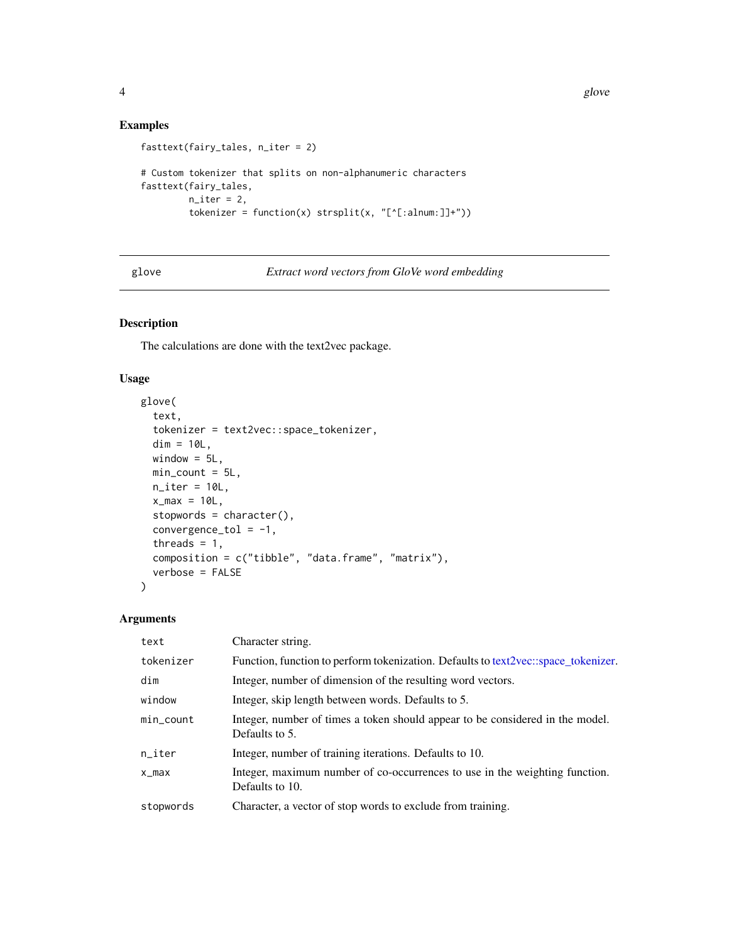# Examples

```
fasttext(fairy_tales, n_iter = 2)
# Custom tokenizer that splits on non-alphanumeric characters
fasttext(fairy_tales,
         n<sub>iter</sub> = 2,
         tokenizer = function(x) strsplit(x, "['[:alnum:]]+"))
```
glove *Extract word vectors from GloVe word embedding*

# Description

The calculations are done with the text2vec package.

# Usage

```
glove(
  text,
  tokenizer = text2vec::space_tokenizer,
 dim = 10L,window = 5L,
 min\_count = 5L,
 n<sub>_iter</sub> = 10L,
 x_max = 10L,
  stopwords = character(),
  convergence_tol = -1,
  threads = 1,
  composition = c("tible", "data-frame", "matrix"),verbose = FALSE
)
```
#### Arguments

| text      | Character string.                                                                               |
|-----------|-------------------------------------------------------------------------------------------------|
| tokenizer | Function, function to perform tokenization. Defaults to text2vec: space_tokenizer.              |
| dim       | Integer, number of dimension of the resulting word vectors.                                     |
| window    | Integer, skip length between words. Defaults to 5.                                              |
| min_count | Integer, number of times a token should appear to be considered in the model.<br>Defaults to 5. |
| $n$ _iter | Integer, number of training iterations. Defaults to 10.                                         |
| $x_{max}$ | Integer, maximum number of co-occurrences to use in the weighting function.<br>Defaults to 10.  |
| stopwords | Character, a vector of stop words to exclude from training.                                     |

<span id="page-3-0"></span>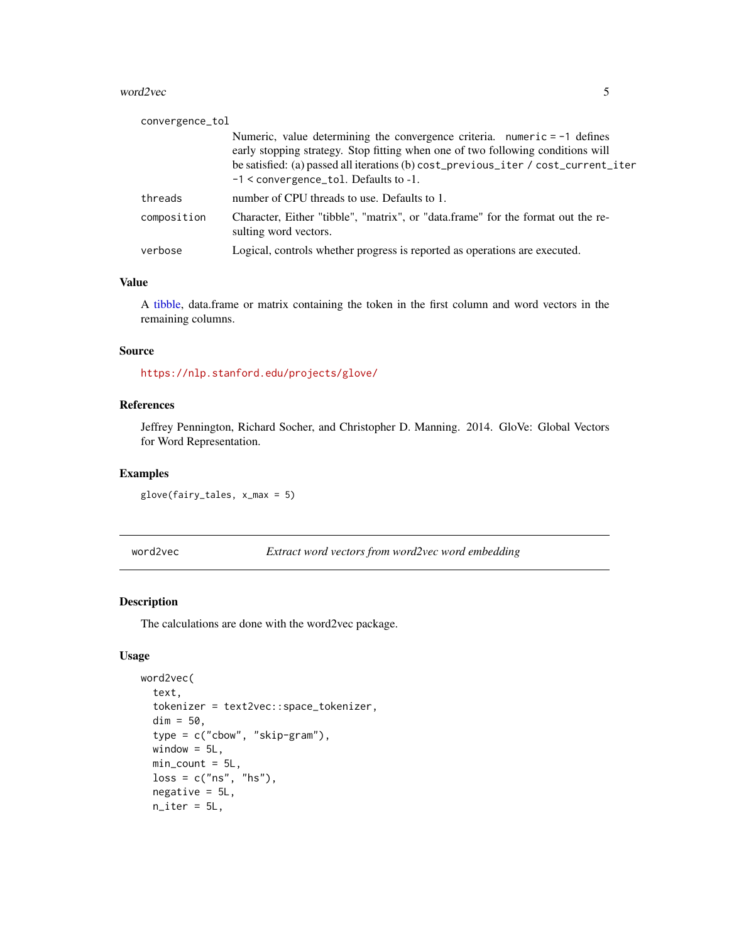#### <span id="page-4-0"></span>word2vec 5

| convergence_tol |                                                                                                                                                                                                                                                                                                    |
|-----------------|----------------------------------------------------------------------------------------------------------------------------------------------------------------------------------------------------------------------------------------------------------------------------------------------------|
|                 | Numeric, value determining the convergence criteria. numeric $= -1$ defines<br>early stopping strategy. Stop fitting when one of two following conditions will<br>be satisfied: (a) passed all iterations (b) cost_previous_iter / cost_current_iter<br>$-1$ < convergence tol. Defaults to $-1$ . |
| threads         | number of CPU threads to use. Defaults to 1.                                                                                                                                                                                                                                                       |
| composition     | Character, Either "tibble", "matrix", or "data.frame" for the format out the re-<br>sulting word vectors.                                                                                                                                                                                          |
| verbose         | Logical, controls whether progress is reported as operations are executed.                                                                                                                                                                                                                         |

## Value

A [tibble,](#page-0-0) data.frame or matrix containing the token in the first column and word vectors in the remaining columns.

#### Source

<https://nlp.stanford.edu/projects/glove/>

# References

Jeffrey Pennington, Richard Socher, and Christopher D. Manning. 2014. GloVe: Global Vectors for Word Representation.

#### Examples

glove(fairy\_tales, x\_max = 5)

word2vec *Extract word vectors from word2vec word embedding*

# Description

The calculations are done with the word2vec package.

## Usage

```
word2vec(
  text,
  tokenizer = text2vec::space_tokenizer,
  dim = 50,
  type = c("cbow", "skip-gram"),
  window = 5L,
  min\_count = 5L,
  loss = c("ns", "hs"),negative = 5L,
  n<sub>_iter</sub> = 5L,
```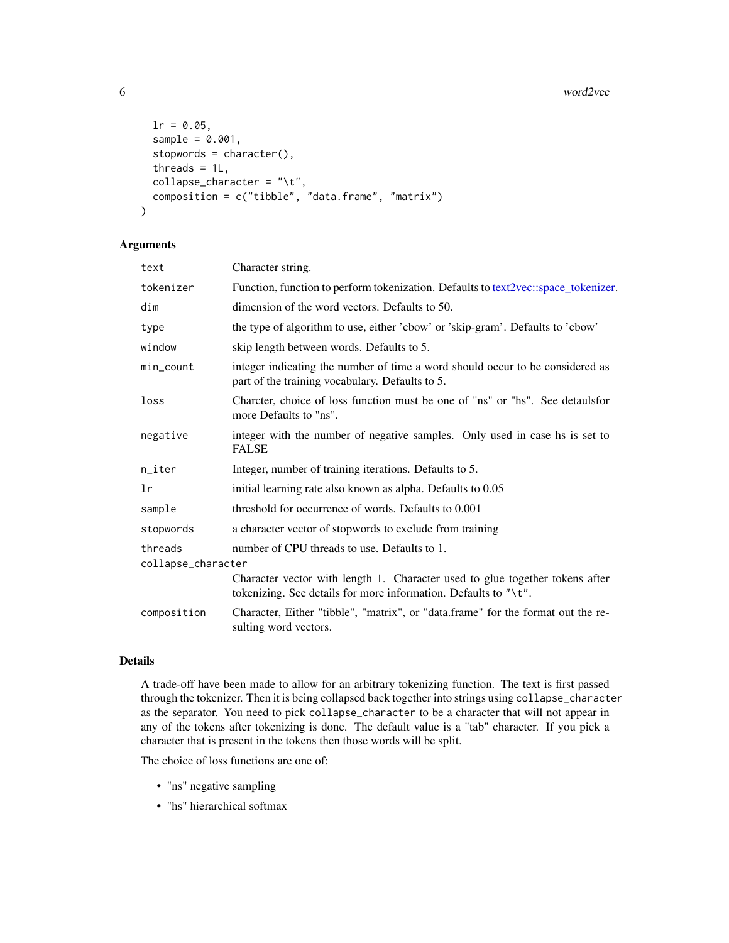#### 6 word2vec

```
lr = 0.05,sample = 0.001,stopwords = character(),
 threads = 1L,
 collapse_character = "\t",
 composition = c("tibble", "data.frame", "matrix")
)
```
#### Arguments

| text               | Character string.                                                                                                                               |
|--------------------|-------------------------------------------------------------------------------------------------------------------------------------------------|
| tokenizer          | Function, function to perform tokenization. Defaults to text2vec: space_tokenizer.                                                              |
| dim                | dimension of the word vectors. Defaults to 50.                                                                                                  |
| type               | the type of algorithm to use, either 'cbow' or 'skip-gram'. Defaults to 'cbow'                                                                  |
| window             | skip length between words. Defaults to 5.                                                                                                       |
| min_count          | integer indicating the number of time a word should occur to be considered as<br>part of the training vocabulary. Defaults to 5.                |
| loss               | Charcter, choice of loss function must be one of "ns" or "hs". See detauls for<br>more Defaults to "ns".                                        |
| negative           | integer with the number of negative samples. Only used in case hs is set to<br><b>FALSE</b>                                                     |
| n_iter             | Integer, number of training iterations. Defaults to 5.                                                                                          |
| lr                 | initial learning rate also known as alpha. Defaults to 0.05                                                                                     |
| sample             | threshold for occurrence of words. Defaults to 0.001                                                                                            |
| stopwords          | a character vector of stopwords to exclude from training                                                                                        |
| threads            | number of CPU threads to use. Defaults to 1.                                                                                                    |
| collapse_character |                                                                                                                                                 |
|                    | Character vector with length 1. Character used to glue together tokens after<br>tokenizing. See details for more information. Defaults to "\t". |
| composition        | Character, Either "tibble", "matrix", or "data.frame" for the format out the re-<br>sulting word vectors.                                       |

# Details

A trade-off have been made to allow for an arbitrary tokenizing function. The text is first passed through the tokenizer. Then it is being collapsed back together into strings using collapse\_character as the separator. You need to pick collapse\_character to be a character that will not appear in any of the tokens after tokenizing is done. The default value is a "tab" character. If you pick a character that is present in the tokens then those words will be split.

The choice of loss functions are one of:

- "ns" negative sampling
- "hs" hierarchical softmax

<span id="page-5-0"></span>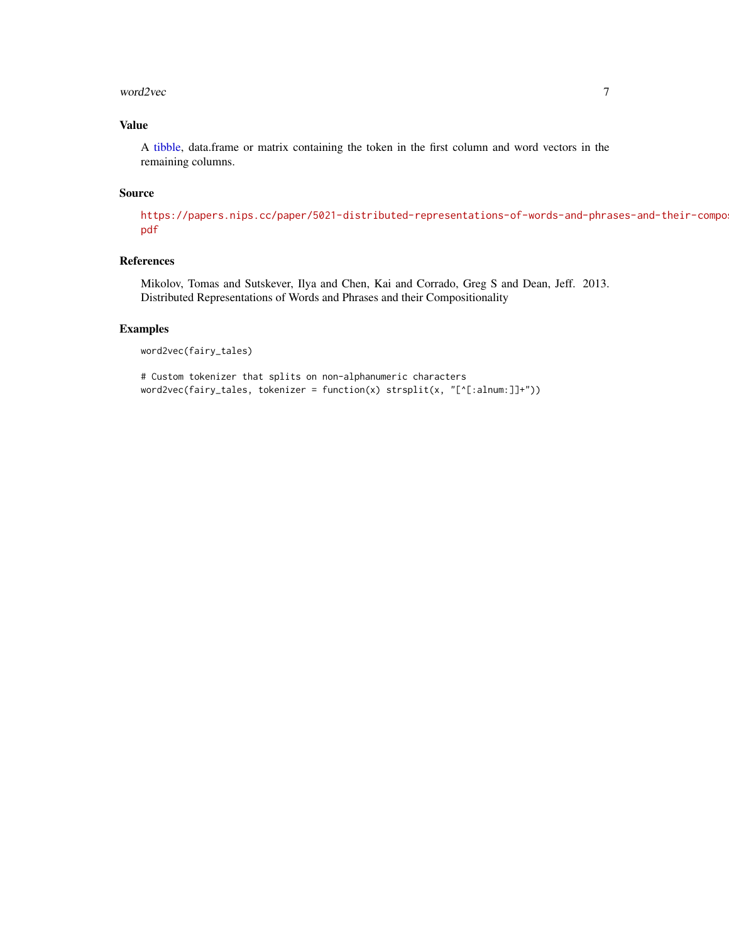#### <span id="page-6-0"></span>word2vec 7

# Value

A [tibble,](#page-0-0) data.frame or matrix containing the token in the first column and word vectors in the remaining columns.

#### Source

[https://papers.nips.cc/paper/5021-distributed-representations-of-words-and-phra](https://papers.nips.cc/paper/5021-distributed-representations-of-words-and-phrases-and-their-compositionality.pdf)ses-and-their-compo [pdf](https://papers.nips.cc/paper/5021-distributed-representations-of-words-and-phrases-and-their-compositionality.pdf)

# References

Mikolov, Tomas and Sutskever, Ilya and Chen, Kai and Corrado, Greg S and Dean, Jeff. 2013. Distributed Representations of Words and Phrases and their Compositionality

#### Examples

```
word2vec(fairy_tales)
```

```
# Custom tokenizer that splits on non-alphanumeric characters
word2vec(fairy_tales, tokenizer = function(x) strsplit(x, "[^[:alnum:]]+"))
```